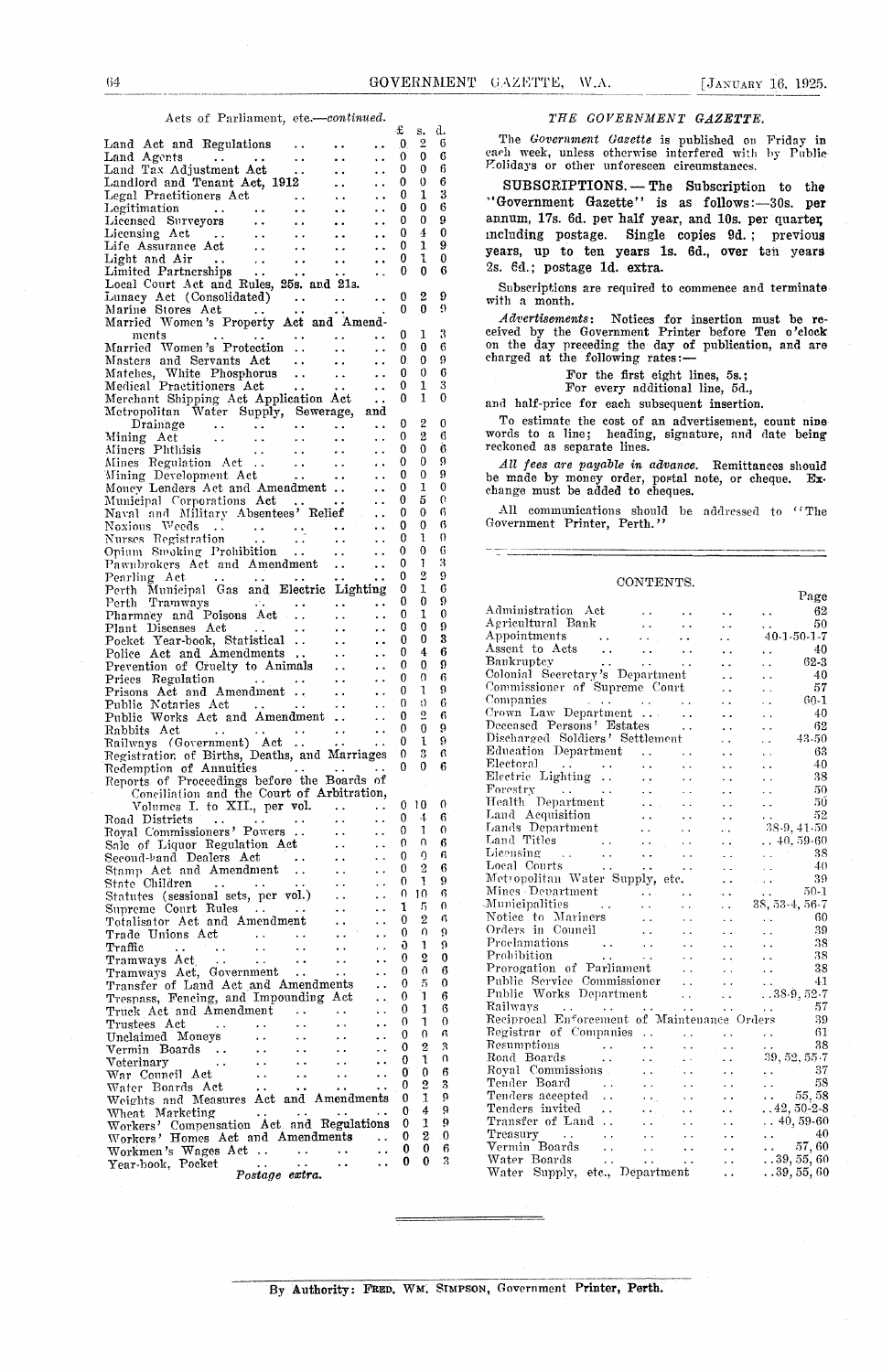|                                                                                                                                                                                                                                                                                                                                                        | £                            | s. d.                         |                   |                                                                                                                                                                                                                                                       |
|--------------------------------------------------------------------------------------------------------------------------------------------------------------------------------------------------------------------------------------------------------------------------------------------------------------------------------------------------------|------------------------------|-------------------------------|-------------------|-------------------------------------------------------------------------------------------------------------------------------------------------------------------------------------------------------------------------------------------------------|
| Land Act and Regulations<br>$\ddot{\phantom{1}}$<br>$\bullet$ , $\bullet$<br>Land Agents<br>$\ddot{\phantom{1}}$ .<br>$\ddot{\phantom{1}}$                                                                                                                                                                                                             | $\bf{0}$<br>$\theta$         | 2<br>$\bf{0}$                 | -6<br>-6          | The Government Gazette is published on Friday in<br>each week, unless otherwise interfered with by Public                                                                                                                                             |
| Land Agents<br>Land Tax Adjustment Act<br>$\bullet$ $\bullet$<br>$\ddotsc$                                                                                                                                                                                                                                                                             | 0                            | $\mathbf{0}$                  | 6                 | Polidays or other unforeseen circumstances.                                                                                                                                                                                                           |
| Landlord and Tenant Act, 1912<br>$\ddot{\phantom{a}}$<br>$\ddot{\phantom{a}}$                                                                                                                                                                                                                                                                          | $\mathbf{0}$                 | $\mathbf 0$                   | 6                 | SUBSCRIPTIONS. - The Subscription to the                                                                                                                                                                                                              |
| $\ddotsc$<br>$\ddot{\phantom{0}}$                                                                                                                                                                                                                                                                                                                      | $\bf{0}$                     | 1                             | 3                 | "Government Gazette" is as follows:-30s. per                                                                                                                                                                                                          |
| $\mathbf{a}$ .<br>$\ddot{\phantom{1}}$                                                                                                                                                                                                                                                                                                                 | 0<br>$\mathbf{0}$            | $\bf{0}$<br>$\mathbf{0}$      | 6<br>9            | annum, 17s. 6d. per half year, and 10s. per quarter                                                                                                                                                                                                   |
| Lagal Practitioners Act<br>Legal Practitioners Act<br>Legitimation<br>Licensed Surveyors<br>Licensing Act<br>Life Assurance Act<br>Light and Air<br>Limited Partnerships<br>Limited Partnerships<br>Limited Partnerships<br>Limited Partnerships<br><br>$\ddot{\phantom{1}}$ .<br>$\ddot{\phantom{0}}$<br>$\ddot{\phantom{1}}$<br>$\ddot{\phantom{1}}$ | 0                            | 4                             | $\bf{0}$          | including postage.<br>Single copies 9d.: previous                                                                                                                                                                                                     |
| $\bullet$ $\bullet$<br>$\ddot{\phantom{0}}$                                                                                                                                                                                                                                                                                                            | 0                            | 1                             | 9                 | years, up to ten years 1s. 6d., over ten years                                                                                                                                                                                                        |
| $\bullet$ $\bullet$<br>$\ddot{\phantom{1}}$                                                                                                                                                                                                                                                                                                            | 0                            | $\mathbf{I}$                  | $\bf{0}$          | 2s. 6d.; postage 1d. extra.                                                                                                                                                                                                                           |
| $\sim 10$<br>$\epsilon$ .                                                                                                                                                                                                                                                                                                                              | 0                            | $\theta$                      | 6                 |                                                                                                                                                                                                                                                       |
| Local Court Act and Rules, 25s. and 21s.<br>Lunacy Act (Consolidated)<br>$\mathcal{L}(\mathbf{r},\mathbf{r})$ , where $\mathcal{L}(\mathbf{r},\mathbf{r})$<br>$\ddot{\phantom{a}}$                                                                                                                                                                     | $\bf{0}$                     | 2                             | 9                 | Subscriptions are required to commence and terminate                                                                                                                                                                                                  |
| Marine Stores Act                                                                                                                                                                                                                                                                                                                                      | $\mathbf{0}$                 | $\mathbf{0}$                  | $\Omega$          | with a month.                                                                                                                                                                                                                                         |
| Married Women's Property Act and Amend-                                                                                                                                                                                                                                                                                                                |                              |                               |                   | Advertisements: Notices for insertion must be re-                                                                                                                                                                                                     |
| ments<br>$\mathcal{L}$ and $\mathcal{L}$ is a set of $\mathcal{L}$ . The mass $\mathcal{L}$                                                                                                                                                                                                                                                            | $^{\circ}$                   | 1                             | 3                 | ceived by the Government Printer before Ten o'clock                                                                                                                                                                                                   |
| Married Women's Protection<br>$\sim$ $\sim$<br>$\ddot{\phantom{0}}$                                                                                                                                                                                                                                                                                    | $\mathbf{0}$                 | $\bf{0}$                      | 6                 | on the day preceding the day of publication, and are<br>charged at the following rates:-                                                                                                                                                              |
| Masters and Servants Act<br>$\sim 10$<br>$\ddot{\phantom{a}}$<br>Matches, White Phosphorus                                                                                                                                                                                                                                                             | $\mathbf{0}$<br>$\bf{0}$     | $\mathbf{0}$<br>$\bf{0}$      | 9<br>6            |                                                                                                                                                                                                                                                       |
| $\epsilon$ .<br>Medical Practitioners Act<br><b><i>Charles Contract</i></b>                                                                                                                                                                                                                                                                            | $\bf{0}$                     | 1                             | 3                 | For the first eight lines, 5s.;<br>For every additional line, 5d.,                                                                                                                                                                                    |
| Merchant Shipping Act Application Act<br>$\ddot{\phantom{a}}$                                                                                                                                                                                                                                                                                          | $\mathbf{0}$                 | $\mathbf{1}$                  | $\theta$          | and half-price for each subsequent insertion.                                                                                                                                                                                                         |
| Metropolitan Water Supply, Sewerage,<br>and                                                                                                                                                                                                                                                                                                            |                              |                               |                   |                                                                                                                                                                                                                                                       |
| $\sim 10^{-1}$                                                                                                                                                                                                                                                                                                                                         | $\mathbf{0}$                 | $\boldsymbol{2}$              | $\mathbf{0}$      | To estimate the cost of an advertisement, count nine                                                                                                                                                                                                  |
| $\ddot{\phantom{a}}$<br>$\sim$ $\sim$                                                                                                                                                                                                                                                                                                                  | $\bf{0}$<br>$\mathbf{0}$     | $\overline{2}$<br>$\mathbf 0$ | 6<br>6            | words to a line; heading, signature, and date being<br>reckoned as separate lines.                                                                                                                                                                    |
| $\ddotsc$<br>$\sim$ $\sim$                                                                                                                                                                                                                                                                                                                             | $\mathbf{0}$                 | $\theta$                      | 9                 |                                                                                                                                                                                                                                                       |
| Miners Phthisis<br>Mines Regulation Act<br>Mining Development Act<br>$\ddot{\phantom{0}}$                                                                                                                                                                                                                                                              | $\bf{0}$                     | $\theta$                      | 9                 | All fees are payable in advance. Remittances should<br>be made by money order, postal note, or cheque. Ex-                                                                                                                                            |
| Money Lenders Act and Amendment<br>$\sim 10^{-1}$                                                                                                                                                                                                                                                                                                      | $\bf{0}$                     | 1                             | 0                 | change must be added to cheques.                                                                                                                                                                                                                      |
| Municipal Corporations Act                                                                                                                                                                                                                                                                                                                             | €                            | 5                             | $\Omega$          |                                                                                                                                                                                                                                                       |
| Naval and Military Absentees' Relief<br><b>Contract</b>                                                                                                                                                                                                                                                                                                | $\mathbf{0}$                 | 0                             | 6                 | All communications should be addressed to "The<br>Government Printer, Perth."                                                                                                                                                                         |
| Noxious Weeds<br>Nurses Registration                                                                                                                                                                                                                                                                                                                   | $\bf{0}$<br>$\Omega$         | $\theta$<br>1                 | 6<br>$\Omega$     |                                                                                                                                                                                                                                                       |
| $\ddot{\phantom{a}}$<br>Opium Swoking Prohibition<br>$\sim$ $\sim$<br>$\ddotsc$                                                                                                                                                                                                                                                                        | $\Omega$                     | $\theta$                      | 6                 |                                                                                                                                                                                                                                                       |
| Pawnbrokers Act and Amendment<br>$\ddotsc$                                                                                                                                                                                                                                                                                                             | $\Omega$                     | 1                             | 3                 |                                                                                                                                                                                                                                                       |
| Pearling Act<br>$\mathcal{L}$ , and $\mathcal{L}$ , and $\mathcal{L}$ , and $\mathcal{L}$ , and $\mathcal{L}$                                                                                                                                                                                                                                          | 0                            | $\overline{2}$                | 9                 | CONTENTS.                                                                                                                                                                                                                                             |
| Perth Municipal Gas and Electric Lighting                                                                                                                                                                                                                                                                                                              | $\overline{\phantom{0}}$     | 1                             | 6                 | Page                                                                                                                                                                                                                                                  |
| Perth Tramways<br>$\sim 10^{-10}$<br>$\ddot{\phantom{a}}$                                                                                                                                                                                                                                                                                              | $\bf{0}$<br>$\mathbf{0}$     | 0<br>1                        | 9<br>$\mathbf{0}$ | 62<br>$\sim$ $\sim$<br>$\ddot{\phantom{a}}$ .                                                                                                                                                                                                         |
| Pharmacy and Poisons Act<br>$\sim 10^{-1}$<br>$\ddotsc$<br>Plant Diseases Act<br>$\mathbf{A} \in \mathbb{R}^{n \times n}$<br>$\ddot{\phantom{0}}$                                                                                                                                                                                                      | 0                            | $\mathbf{0}$                  | 9                 | Administration Act<br>Agricultural Bank<br>50<br>$\sim$<br>$\ddot{\phantom{a}}$                                                                                                                                                                       |
| Pocket Year-book, Statistical<br>$\sim 10$<br>$\ddot{\phantom{a}}$                                                                                                                                                                                                                                                                                     | 0                            | $\bf{0}$                      | 3                 | Appointments<br>$40-1-50-1-7$<br>$\mathcal{L}(\mathbf{z},\mathbf{z})$ , $\mathcal{L}(\mathbf{z},\mathbf{z})$<br>$\ddotsc$                                                                                                                             |
| Police Act and Amendments<br>$\sim 10^{-1}$<br>$\ddot{\phantom{a}}$                                                                                                                                                                                                                                                                                    | 0                            | 4                             | 6                 | Assent to Acts<br>40<br>$\sim$ $\sim$<br>$\ddotsc$                                                                                                                                                                                                    |
| Prevention of Cruelty to Animals<br>$\ddot{\phantom{1}}$ .                                                                                                                                                                                                                                                                                             | 0                            | $\mathbf{0}$                  | 9                 | Bankruptcy<br>$62 - 3$<br><b>Contract Contract Contract</b><br><b>Contract Contract Contract</b><br>$\sim$ $\sim$<br>$\ddotsc$                                                                                                                        |
| Prices Regulation<br>الجنجان الجعلي ويعجب والمناد<br>$\ddot{\phantom{0}}$                                                                                                                                                                                                                                                                              | $\mathbf{0}$                 | $\Omega$                      | 6<br>9            | Colonial Secretary's Department<br>40<br>$\sim$ $\sim$<br>$\ddot{\phantom{0}}$<br>Commissioner of Supreme Court<br>57<br>$\ddot{\phantom{0}}$<br>$\ddot{\phantom{0}}$                                                                                 |
| Prisons Act and Amendment<br>$\ddot{\phantom{a}}$<br>Public Notaries Act<br><b>Contract Contract</b><br>$\ddotsc$                                                                                                                                                                                                                                      | $\mathbf{0}$<br>$\theta$     | 1<br>$\langle$                | 6                 | Companies<br>60-1<br><b>Contract Advised Street</b><br>$\mathcal{L}(\mathcal{A},\mathcal{A})$ and $\mathcal{L}(\mathcal{A},\mathcal{A})$ .<br>$\sim$ $\sim$<br>$\ddot{\phantom{0}}$                                                                   |
| $\sim$ $\sim$<br>Public Works Act and Amendment<br>$\sim$ $\sim$                                                                                                                                                                                                                                                                                       | $\bf{0}$                     | $\Omega$                      | 6                 | Crown Law Department<br>40<br>$\ddot{\phantom{a}}$ .<br>$\ddot{\phantom{0}}$                                                                                                                                                                          |
| Rabbits Act<br>and a series of the series of the series of the series of the series of the series of the series of the series                                                                                                                                                                                                                          | $\mathbf{0}$                 | $\bf{0}$                      | 9                 | Deceased Persons' Estates<br>62<br>$\sim$ $\sim$<br>$\ddot{\phantom{0}}$                                                                                                                                                                              |
| Railways (Government) Act  .                                                                                                                                                                                                                                                                                                                           | $\theta$                     | $\mathbf{1}$                  | 9                 | Discharged Soldiers' Settlement<br>43-50<br>$\sim 10^{-1}$<br>$\ddot{\phantom{0}}$                                                                                                                                                                    |
| Registration of Births, Deaths, and Marriages                                                                                                                                                                                                                                                                                                          | $\bf{0}$                     | 3                             | 6                 | 63<br>$\sim$ $\sim$<br>$\sim$ $\sim$<br>Electoral<br>40<br>$\Delta$ and $\Delta$<br>$\sim 10^7$<br>$\sim$ $\sim$                                                                                                                                      |
| Redemption of Annuities                                                                                                                                                                                                                                                                                                                                | $\mathbf{0}$                 | $\mathbf{0}$                  | 6                 | $\mathcal{L}(\mathcal{A},\mathcal{A})$ . The contribution of $\mathcal{A}(\mathcal{A})$<br>$\sim$ $\sim$<br>38<br>$\mathbf{A} \cdot \mathbf{A} = \mathbf{0}$<br>$\sim 10$<br>$\sim$ $\sim$                                                            |
| Reports of Proceedings before the Boards of<br>Conciliation and the Court of Arbitration,                                                                                                                                                                                                                                                              |                              |                               |                   | Forestry $\cdots$ $\cdots$<br>-50<br>$\sim 10^7$<br>$\mathcal{A}(\mathcal{A})$ .<br>$\ddot{\phantom{a}}$ .                                                                                                                                            |
| Volumes I. to XII., per vol.                                                                                                                                                                                                                                                                                                                           |                              | $\therefore$ 0 10 0           |                   | Health Department<br>50<br>$\sim 100$<br>$\sim$ $\sim$                                                                                                                                                                                                |
| Road Districts<br>$\ddotsc$<br>المتحدث والمتحارب والمتحارب والمتحدث                                                                                                                                                                                                                                                                                    |                              | $0 \t4 \t6$                   |                   | Land Acquisition<br>Lands Department<br>52<br>$\sim 10^{-10}$ m $^{-1}$<br>$\sim 10^{-11}$<br>$\sim$ $\sim$<br>$\sim$ $\sim$                                                                                                                          |
| Royal Commissioners' Powers                                                                                                                                                                                                                                                                                                                            |                              | 0 <sub>1</sub>                | $\Omega$          | 38.9, 41.50<br>$\sim 10^{-1}$<br>$\sim$ $\sim$<br>Land Titles                                                                                                                                                                                         |
| Sale of Liquor Regulation Act<br>$\ddot{\phantom{0}}$                                                                                                                                                                                                                                                                                                  | 0<br>0                       | $\Omega$<br>η                 | 6<br>r.           | $\ldots 40.\,59\mathchar`-60$<br>$\epsilon$ .<br>$\sim$ $\star$<br>Licensing<br>38<br>$\ddot{\phantom{a}}$ .<br>$\epsilon$ .<br>$\ddot{\phantom{a}}$<br>$\sim$<br>$\ddot{\phantom{1}}$ .<br>$\ddot{\phantom{0}}$                                      |
| Second-band Dealers Act<br>$\cdot$ .<br>. .<br>$\ddot{\phantom{0}}$                                                                                                                                                                                                                                                                                    | 0                            | $\overline{2}$                | 6                 | Local Courts<br>40<br>$\sim$ $\sim$<br>$\sim$ $\sim$<br>$\ddot{\phantom{a}}$ .<br>$\ddot{\phantom{a}}$ .<br>$\ddot{\phantom{a}}$ .                                                                                                                    |
| Stamp Act and Amendment<br>$\sim$ 4.4 $\sim$<br>$\ddot{\phantom{0}}$<br>State Children<br>$\sim$ .<br>$\ddot{\phantom{0}}$<br>$\ddot{\phantom{0}}$<br>$\ddot{\phantom{1}}$ .                                                                                                                                                                           | 0                            | 1                             | 9                 | Metropolitan Water Supply, etc.<br>39<br>$\ddot{\phantom{a}}$ .<br>$\sim$ $\sim$                                                                                                                                                                      |
| Statutes (sessional sets, per vol.)<br>$\ddot{\phantom{0}}$<br>$\ddot{\phantom{0}}$                                                                                                                                                                                                                                                                    |                              | 0, 10                         | 6                 | Mines Department<br>$50-1$<br><b>Contract</b><br>$\ddot{\phantom{a}}$<br>$\ddot{\phantom{0}}$<br>$\sim$ $\sim$                                                                                                                                        |
| Supreme Court Rules<br>$\vec{r}$ .<br>$\ddot{\phantom{0}}$<br>$\ddot{\phantom{0}}$                                                                                                                                                                                                                                                                     | 1                            | -5                            | 0                 | Municipalities<br>38, 53-4, 56-7<br>$\sim 100$<br>$\ddotsc$<br>$\ddot{\phantom{0}}$<br>$\sim$                                                                                                                                                         |
| Totalisator Act and Amendment<br>$\ddot{\phantom{1}}$<br>. .                                                                                                                                                                                                                                                                                           | $\mathbf{0}$                 | $\overline{2}$<br>$\Omega$    | 6<br>$\Omega$     | Notice to Mariners<br>60<br>$\ddotsc$<br>у.<br>$\sim$ $\sim$<br>$\mathbf{r} \cdot \mathbf{r}$ .<br>Orders in Council<br>39<br>$\sim$ $\sim$<br>$\ddot{\phantom{1}}$ .<br>$\sim$ $\sim$                                                                |
| Trade Unions Act<br>$\sim 10$<br>$\ddotsc$<br>$\ddot{\phantom{0}}$<br>$\ddot{\phantom{a}}$                                                                                                                                                                                                                                                             | 0<br>Ū.                      | 1                             | $\Omega$          | $\ddot{\phantom{0}}$<br>Proclamations<br>38<br>$\sim$ $\sim$<br>$\ddotsc$<br>$\sim 10$ km s $^{-1}$<br>$\ddot{\phantom{0}}$<br>$\ddotsc$                                                                                                              |
| Traffic<br>$\sim$ $\sim$<br>$\ddot{\phantom{a}}$ .<br>$\sim 10^{-1}$<br>$\ddot{\phantom{1}}$<br>ò.<br>Tramways Act<br>$\ddot{\phantom{1}}$<br>$\sim$ $\sim$<br>$\sim$ $\sim$<br>$\ddot{\phantom{0}}$<br>$\ddot{\phantom{0}}$                                                                                                                           | 0                            | $\boldsymbol{2}$              | $\theta$          | 38<br>Prohibition<br>$\sim$ $\sim$<br>$\sim 10$<br>$\sim$ $\sim$<br>$\sim$ $\sim$<br>k.                                                                                                                                                               |
| Tramways Act, Government<br>$\ddotsc$<br>$\ddot{\phantom{0}}$<br>. .                                                                                                                                                                                                                                                                                   | 0                            | 0                             | 6                 | Prorogation of Parliament<br>38<br>$\bar{\psi}$<br>$\ddot{\phantom{a}}$ .<br>$\sim$ $\sim$                                                                                                                                                            |
| Transfer of Land Act and Amendments<br>$\ddot{\phantom{0}}$                                                                                                                                                                                                                                                                                            | 0                            | 5                             | $\Omega$          | Public Service Commissioner<br>$\mathcal{L}(\mathbf{x})$<br>41<br>$\ddot{\phantom{0}}$<br>$\sim$ $\sim$                                                                                                                                               |
| Trespass, Fencing, and Impounding Act<br>٠.                                                                                                                                                                                                                                                                                                            | $\mathbf{0}$                 | $\mathbf{1}$                  | 6                 | Public Works Department<br>38.9, 52.7<br>$\ddot{\phantom{a}}$ .<br>$\ddotsc$<br>Railways<br>57                                                                                                                                                        |
| Truck Act and Amendment<br>$\ddotsc$<br>$\ddot{\phantom{a}}$<br>$\ddot{\phantom{0}}$                                                                                                                                                                                                                                                                   | 0<br>0                       | 1<br>1                        | 6<br>$\Omega$     | $\sim$ $\sim$<br>$\sim$ $\sim$<br>$\sim$ $\sim$<br>$\sim$ $\sim$<br>Reciprocal Enforcement of Maintenance Orders<br>39                                                                                                                                |
| Trustees Act<br>$\ddot{\phantom{1}}$<br>$\ddot{\phantom{a}}$<br>$\ddot{\phantom{0}}$<br>$\ddot{\phantom{0}}$<br>$\ddot{\phantom{a}}$<br>Unclaimed Moneys<br>$\ddot{\phantom{a}}$ .<br>$\ddot{\phantom{0}}$<br>$\ddot{\phantom{0}}$                                                                                                                     | 0                            | $\Omega$                      | ß.                | Registrar of Companies<br>61<br>$\sim$ $\sim$<br>$\ddot{\phantom{0}}$<br>$\ddotsc$                                                                                                                                                                    |
| $\sim$ $\sim$<br>Vermin Boards<br>$\ddot{\phantom{0}}$<br>$\sim$ $\sim$<br>$\ddot{\phantom{1}}$ .<br>$\ddot{\phantom{0}}$                                                                                                                                                                                                                              | 0                            | $\boldsymbol{2}$              | 3                 | Resumptions<br>38<br>$\sim$ $\sim$<br>$\sim$ $\sim$<br>$\ddot{\phantom{1}}$ .<br>$\ddot{\phantom{0}}$<br>$\ddot{\phantom{0}}$                                                                                                                         |
| Veterinary<br>$\ddotsc$<br>$\ddot{\phantom{0}}$<br>$\ddot{\phantom{1}}$ .<br>$\ddot{\phantom{0}}$<br>$\sim$ $\sim$ $\sim$                                                                                                                                                                                                                              | 0                            | 1                             | 0                 | 39, 52, 55.7<br>Road Boards<br>$\sim 10$<br>$\sim 10^{-1}$<br>$\ddot{\phantom{a}}$<br>$\sim$ $\sim$                                                                                                                                                   |
| War Council Act<br>$\ddotsc$<br>$\sim$ $\sim$<br>$\epsilon$ .<br>$\ddotsc$                                                                                                                                                                                                                                                                             | 0                            | $\mathbf{0}$                  | 6                 | Royal Commissions<br>37<br>$\mathbf{r} \cdot \mathbf{r}^{\mathcal{A}}$<br>$\ddot{\phantom{1}}$ .<br>e k<br>$\ddotsc$<br>Tender Board<br>58                                                                                                            |
| Water Boards Act<br>$\ddot{\phantom{a}}$ .<br>$\ddot{\phantom{a}}$ .<br>$\ddot{\phantom{a}}$ .<br>$\ddot{\phantom{a}}$                                                                                                                                                                                                                                 | $\mathbf{0}$<br>$\mathbf{0}$ | 2<br>1                        | 3<br>Ö,           | $\sim$ $\sim$<br>$\bullet$ $\bullet$ $\bullet$ $\bullet$ $\bullet$ $\bullet$<br>$\ddotsc$<br>$\sim$ $\sim$<br>$\ddot{\phantom{0}}$<br>55.58<br>Tenders accepted<br>$\epsilon$ , $\epsilon$<br>$\epsilon$ .<br>$\sim$ $\sim$<br>$\ddot{\phantom{1}}$ . |
| Weights and Measures Act and Amendments<br>Wheat Marketing                                                                                                                                                                                                                                                                                             | $\mathbf{0}$                 | 4                             | 9                 | $\ldots 42$ , 50-2-8<br>Tenders invited<br>i, k<br>$\ddot{\phantom{a}}$ .<br>$\bullet$ $\bullet$ $\pm$ $\pm$                                                                                                                                          |
| $\ddot{\phantom{a}}$ .<br>Workers' Compensation Act and Regulations                                                                                                                                                                                                                                                                                    | $\mathbf{0}$                 | 1                             | 9                 | $\ldots 40, 59.60$<br>Transfer of Land<br>$\ddot{\phantom{1}}$ .<br>$\ddot{\phantom{a}}$ .<br>$\sim$ $\sim$                                                                                                                                           |
| Workers' Homes Act and Amendments<br>$\ddot{\phantom{a}}$                                                                                                                                                                                                                                                                                              | 0                            | 2                             | $\theta$          | 40<br>Treasury<br>$\ddot{\phantom{1}}$ .<br>$\ddot{\phantom{1}}$ .<br>$\mathbf{1}$ , $\mathbf{1}$<br>$\sim$ $\sim$<br>$\sim$ $\sim$<br>$\sim$                                                                                                         |
| Workmen's Wages Act<br>$\ddot{\phantom{a}}$<br>$\ddot{\phantom{a}}$<br>$\mathcal{L}_{\rm{max}}$ , and $\mathcal{L}_{\rm{max}}$                                                                                                                                                                                                                         | $\mathbf{0}$                 | 0                             | 6                 | 57,60<br>Vermin Boards<br>$\mathcal{L}(\mathcal{A})$<br>$\ddot{\phantom{a}}$ .<br>$\mathbf{r}$ , $\mathbf{r}$ , $\mathbf{r}$<br>$\ddot{\phantom{a}}$ .<br>$\ddot{\phantom{1}}$ .                                                                      |
| Year-book, Pocket<br>$\sim 10^{-1}$<br>$\ddot{\phantom{0}}$<br>$\ddot{\phantom{0}}$<br>$\sim$ 100 $\pm$                                                                                                                                                                                                                                                | 0                            | $\bf{0}$                      | 3                 | $\mathbb{R}^n$ .<br><br>.<br>39,55,60<br>Water Boards<br>$\ddot{\phantom{0}}$<br>$\ddot{\phantom{1}}$ .<br>$\sim 10^{-10}$<br>.39,55,60<br>Water Supply, etc., Department<br>$\sim$ $\sim$                                                            |
| Postage extra.                                                                                                                                                                                                                                                                                                                                         |                              |                               |                   |                                                                                                                                                                                                                                                       |

### Acts of Parliament, etc.--continued. **THE GOVERNMENT GAZETTE**.

GOVERNMENT GAZETTE, W.A. [JANUARY 16, 1925.<br>  $\begin{array}{r} \n\hline\n\text{G} & \text{G} & \text{G} & \text{G} & \text{G} & \text{G} & \text{G} & \text{G} & \text{G} & \text{G} & \text{G} & \text{G} & \text{G} & \text{G} & \text{G} & \text{G} & \text{G} & \text{G} & \text{G} & \text{G} & \text{G} & \text{G} & \text{G} & \text{G} & \text{G} & \text{G} & \text{G} &$ <sup>6</sup> The *Government Gazette* is published on Friday in each week, unless otherwise interfered with by Public<br>Eolidays or other unforeseen circumstances.

### CONTENTS.

| Perth Municipal Gas and Electric Lighting                                                                                                                                                                    | v              | J.                       | Ð            |                                                                                                                                                                                                                                                                         | Page                                              |
|--------------------------------------------------------------------------------------------------------------------------------------------------------------------------------------------------------------|----------------|--------------------------|--------------|-------------------------------------------------------------------------------------------------------------------------------------------------------------------------------------------------------------------------------------------------------------------------|---------------------------------------------------|
| Perth Tramways<br>$\sim 100$ kpc $^{-1}$ .<br>$\ddot{\phantom{0}}$<br>$\ddot{\phantom{a}}$<br>$\ldots$                                                                                                       | $\Omega$       | $\mathbf 0$              | 9            | Administration Act                                                                                                                                                                                                                                                      | 62                                                |
| Pharmacy and Poisons Act<br>$\ddot{\phantom{a}}$<br>$\ddot{\phantom{a}}$                                                                                                                                     | $\theta$       | $\mathbf{1}$             | $\Omega$     | $\sim$<br>$\ddot{\phantom{a}}$<br>$\ddot{\phantom{0}}$<br>Agricultural Bank                                                                                                                                                                                             | $\sim$<br>50                                      |
| Plant Diseases Act<br>$\mathcal{L}_{\mathbf{z}}$ and $\mathcal{L}_{\mathbf{z}}$<br>$\ddot{\phantom{a}}$ .<br>$\sim 10^{-1}$<br>$\ddot{\phantom{0}}$                                                          | 0              | $\Omega$                 | 9            | $\mathbf{1}$ , $\mathbf{1}$ , $\mathbf{1}$<br>$\sim 10^{-1}$<br>$\sim$<br>Appointments                                                                                                                                                                                  | $\ddot{\phantom{a}}$<br>$40-1-50-1-7$             |
| Pocket Year-book, Statistical<br>$\ddot{\phantom{a}}$ .<br>$\ddot{\phantom{0}}$                                                                                                                              | 0              | 0                        | 3            | $\sim 100$ km s $^{-1}$<br>$\ddotsc$<br>$\mathbf{v} \in \mathbb{R}^{n \times n}$<br>$\ddot{\phantom{0}}$<br>Assent to Acts                                                                                                                                              |                                                   |
| Police Act and Amendments<br>$\ddot{\phantom{0}}$<br>$\ddot{\phantom{a}}$                                                                                                                                    | $\bf{0}$       | 4                        | 6            | $\sim 100$ km s $^{-1}$<br><b>Contract</b><br>$\ddot{\phantom{a}}$<br>$\ddot{\phantom{a}}$                                                                                                                                                                              | 40<br>$\ddotsc$                                   |
| Prevention of Cruelty to Animals<br>$\ddot{\phantom{a}}$ .<br>$\ddot{\phantom{a}}$                                                                                                                           | $\Omega$       | 0                        | 9            | Bankruptcy<br>$\mathbf{r}$ , and $\mathbf{r}$ , and $\mathbf{r}$<br>$\sim$ $\sim$<br>$\ddot{\phantom{1}}$                                                                                                                                                               | $62 - 3$<br>$\ddotsc$                             |
| Prices Regulation<br><b>Contract Contract Contract</b><br>$\ddot{\phantom{0}}$<br>$\ddot{\phantom{0}}$                                                                                                       | $\Omega$       | $\Omega$                 | 6            | Colonial Secretary's Department<br>L.                                                                                                                                                                                                                                   | 40<br>$\ddot{\phantom{0}}$                        |
| Prisons Act and Amendment<br>$\ddot{\phantom{a}}$<br>$\ddot{\phantom{a}}$                                                                                                                                    | $\Omega$       | 1                        | 9            | Commissioner of Supreme Court<br>$\ddot{\phantom{a}}$                                                                                                                                                                                                                   | 57<br>$\ddots$                                    |
| Public Notaries Act<br>and the state of the state of the<br>$\ddot{\phantom{a}}$<br>$\ddot{\phantom{0}}$                                                                                                     | $\theta$       | $\left\{ \cdot \right\}$ | 6            | Companies<br>$\mathcal{L}^{\mathcal{A}}$ . The contract of the contract of the contract of the contract of the contract of the contract of the contract of the contract of the contract of the contract of the contract of the contract of the contrac<br>$\sim$ $\sim$ | $60-1$<br>$\ddot{\phantom{0}}$                    |
| Public Works Act and Amendment<br>$\sim$                                                                                                                                                                     | $\bf{0}$       | $\Omega$                 | 6            | Crown Law Department<br>$\ddotsc$                                                                                                                                                                                                                                       | 40<br>$\ddot{\phantom{0}}$                        |
| Rabbits Act<br>$\sim$ $\sim$<br>$\mathbf{u}$ , and $\mathbf{u}$ , and $\mathbf{u}$<br>$\mathbf{u}(\mathbf{x})$ and $\mathbf{u}(\mathbf{x})$ and $\mathbf{u}(\mathbf{x})$                                     | $\Omega$       | $\Omega$                 | 9            | Deceased Persons' Estates<br><b>Contract</b><br>$\ddot{\phantom{a}}$                                                                                                                                                                                                    | 62<br>$\ddot{\phantom{0}}$                        |
| Railways (Government) Act<br>$\ddot{\phantom{a}}$                                                                                                                                                            | $\Omega$       | $\mathbf{1}$             | 9            | Discharged Soldiers' Settlement<br>$\sim$                                                                                                                                                                                                                               | 43-50<br>$\ddot{\phantom{1}}$ .                   |
| Registration of Births, Deaths, and Marriages                                                                                                                                                                | $\overline{0}$ | $\mathfrak{B}$           | 6            | Education Department<br>$\sim 100$<br>$\sim 10^{11}$ km $^{-1}$<br>L.                                                                                                                                                                                                   | 63<br>$\sim$ $\sim$                               |
| Redemption of Annuities<br>الفقار الفقار العقاريات                                                                                                                                                           | $\Omega$       | 0                        | 6            | Electoral<br>المتوارد المتوارث المعاري المحورة<br>in S                                                                                                                                                                                                                  | 40<br>$\ddot{\phantom{a}}$                        |
| Reports of Proceedings before the Boards of                                                                                                                                                                  |                |                          |              | $\mathcal{L}(\mathcal{A})$                                                                                                                                                                                                                                              | 38<br>$\sim$ $\sim$                               |
| Conciliation and the Court of Arbitration,                                                                                                                                                                   |                |                          |              | Forestry<br>$\mathcal{L}(\mathbf{A},\mathbf{A})$ . The contribution of the contribution of $\mathcal{L}(\mathbf{A},\mathbf{A})$<br>$\mathcal{L}(\mathcal{L})$                                                                                                           | 50<br>$\sim$ $\sim$                               |
| Volumes I. to XII., per vol.<br>$\ddot{\phantom{a}}$<br>$\ddot{\phantom{0}}$                                                                                                                                 |                | 010                      | $\Omega$     | Health Department<br>$\sim$ $\sim$                                                                                                                                                                                                                                      | 50<br>$\sim$ $\sim$                               |
| Road Districts<br><b>The Community of the Community</b><br>$\ddot{\phantom{0}}$<br>$\ddot{\phantom{a}}$                                                                                                      | $\Omega$       | 4                        | 6            | Land Acquisition<br>the company of the company of<br>$\ddot{\phantom{a}}$                                                                                                                                                                                               | 52<br>$\mathbf{r}$                                |
| Royal Commissioners' Powers<br>$\ddot{\phantom{a}}$<br>$\ddot{\phantom{a}}$                                                                                                                                  | $\Omega$       | 1                        | $\Omega$     | Lands Department<br>$\mathbf{v}(\mathbf{z})$ , $\mathbf{v}(\mathbf{z})$ , $\mathbf{v}(\mathbf{z})$ ,<br>$\sim$ $\sim$                                                                                                                                                   | 38.9, 41.50                                       |
| Sale of Liquor Regulation Act<br>$\ddot{\phantom{a}}$<br>$\ddot{\phantom{a}}$                                                                                                                                | $\Omega$       | $\Omega$                 | 6            | Land Titles<br><b>Contractor</b><br>$\mathcal{L}(\mathbf{z},\mathbf{z})$ , $\mathcal{L}(\mathbf{z},\mathbf{z})$<br>$\sim 10^7$                                                                                                                                          | $.40.59-60$                                       |
| Second-band Dealers Act<br>$\ddot{\phantom{a}}$<br>$\ddot{\phantom{0}}$                                                                                                                                      | $\Omega$       | $\Omega$                 | 6            | $\sim$ $\sim$                                                                                                                                                                                                                                                           | 38<br>$\mathbf{r} = \mathbf{r} \times \mathbf{r}$ |
| Stamp Act and Amendment<br>$\ddot{\phantom{a}}$<br>$\ddot{\phantom{a}}$                                                                                                                                      | $\Omega$       | 2                        | 6            | Local Courts<br><b>Contract Contract</b><br>and a series of the series of<br>$\sim 10^{-1}$                                                                                                                                                                             | 40<br>$\sim$ .                                    |
| State Children<br>The company of the company<br>$\sim$ $\sim$<br>$\ddot{\phantom{a}}$                                                                                                                        | $\theta$       | 1                        | 9            | Metropolitan Water Supply, etc.<br>$\ddotsc$                                                                                                                                                                                                                            | 39<br>$\sim 100$                                  |
| Statutes (sessional sets, per vol.)<br>$\ddot{\phantom{a}}$<br>$\ddot{\phantom{a}}$                                                                                                                          | $\Omega$       | 10                       | 6            | Mines Devartment<br>$\sim$ $\sim$                                                                                                                                                                                                                                       | $50-1$<br>$\sim$ $\sim$                           |
| Supreme Court Rules<br>$\ddot{\phantom{a}}$<br>$\ddot{\phantom{a}}$                                                                                                                                          | 1              | 5                        | U            | Municipalities<br>and the same of<br>$\sim$ $\sim$                                                                                                                                                                                                                      | 38, 53-4, 56-7                                    |
| Totalisator Act and Amendment<br>$\ddot{\phantom{a}}$<br>$\ddot{\phantom{a}}$                                                                                                                                | O.             | $\mathbf{2}$             | 6            | Notice to Mariners<br>$\sim$ $\sim$                                                                                                                                                                                                                                     | -60<br>$\sim$                                     |
| Trade Unions Act<br>$\ddot{\phantom{a}}$<br>$\ddot{\phantom{a}}$                                                                                                                                             | $\Omega$       | $\Omega$                 | $\Omega$     | Orders in Council<br>Proclamations<br>$\sim$ $\sim$                                                                                                                                                                                                                     | 39<br>$\ddot{\phantom{0}}$                        |
| Traffic<br>and the company of the<br>$\bullet$ $\bullet$<br>$\ddot{\phantom{a}}$                                                                                                                             | O              | 1                        | $\Omega$     | $\sim$                                                                                                                                                                                                                                                                  | 38<br>$\ddot{\phantom{a}}$                        |
| Tramways Act<br>$\ddot{\phantom{a}}$<br>and the state of the state of the<br>$\sim 10^{-10}$ km s $^{-1}$<br>$\ddot{\phantom{0}}$                                                                            | $\Omega$       | $\overline{2}$           | 0            | $\sim 10^{-1}$<br>$\sim$ $\sim$                                                                                                                                                                                                                                         | 38<br>$\sim$ $\sim$                               |
| Tramways Act, Government<br>$\sim 10^{-1}$<br>$\ddot{\phantom{a}}$                                                                                                                                           | $\theta$       | $\theta$                 | 6            | Prohibition<br>Prorogation of Parliament<br>$\mathcal{L}(\mathbf{x})$<br>$\ddot{\phantom{a}}$                                                                                                                                                                           | 38<br>$\sim 10^{-11}$                             |
| Transfer of Land Act and Amendments<br>$\ddot{\phantom{a}}$                                                                                                                                                  | $\Omega$       | 5                        | $\Omega$     | Public Service Commissioner                                                                                                                                                                                                                                             | 41<br>$\sim 10^{-11}$                             |
| Trespass, Fencing, and Impounding Act                                                                                                                                                                        | $\theta$       | $\mathbf{1}$             | 6            | Public Works Department<br>$\mathcal{L}(\mathcal{L})$                                                                                                                                                                                                                   | $38.9.52-7$                                       |
| $\ddotsc$<br>$\ddot{\phantom{a}}$                                                                                                                                                                            | $\Omega$       | 1                        | 6            | Railways<br>and a series of the series of the series<br>$\sim 10^{-10}$ m $^{-1}$<br>$\mathbf{1}$ , $\mathbf{1}$ , $\mathbf{1}$                                                                                                                                         | 57<br>$\sim$ $\sim$                               |
| Truck Act and Amendment<br>$\mathbf{r}$ , $\mathbf{r}$ , $\mathbf{r}$<br>$\sim 10^{-1}$                                                                                                                      | $\Omega$       | 1                        | 0            | Reciprocal Enforcement of Maintenance Orders                                                                                                                                                                                                                            | 39                                                |
| Trustees Act<br>$\mathbf{r}$ , $\mathbf{r}$ , $\mathbf{r}$<br><b>Carlos Committee</b><br>$\mathcal{L}(\mathcal{L}^{\mathcal{L}})$ . The $\mathcal{L}^{\mathcal{L}}$<br>$\sim$ $\sim$<br>$\ddot{\phantom{a}}$ | 0              | $\Omega$                 | ß.           | Registrar of Companies<br>$\ddot{\phantom{a}}$ .                                                                                                                                                                                                                        | 61<br>$\mathcal{L}(\mathcal{L})$                  |
| Unclaimed Moneys<br>$\ddot{\phantom{a}}$ .<br>$\ddot{\phantom{a}}$                                                                                                                                           | 0              | $\overline{2}$           | $\mathbf{R}$ | Resumptions<br>and the state of the state of the state<br>$\ddot{\phantom{0}}$                                                                                                                                                                                          | 38<br>$\ddot{\phantom{0}}$                        |
| $\ddotsc$<br>Vermin Boards<br>Veterinary<br>$\mathbf{1}$ , $\mathbf{1}$ , $\mathbf{1}$<br>$\ddot{\phantom{a}}$                                                                                               | $\Omega$       | 1                        | $\Omega$     | Road Boards<br><b>Contractor</b><br><b>Contractor</b><br>$\sim$ $\sim$<br>$\Delta$ , $\Delta$                                                                                                                                                                           | 39, 52, 55.7                                      |
| $\sim$ $\sim$<br>$\mathbf{v}$ , $\mathbf{v}$ , $\mathbf{v}$<br>$\ddot{\phantom{a}}$                                                                                                                          | 0              | $\Omega$                 | 6            | $\mathcal{F}_{\text{max}}$<br>Roval Commissions<br>$\ddot{\phantom{0}}$                                                                                                                                                                                                 | 37<br>$\epsilon \rightarrow -$                    |
| $\mathbf{r}$<br>War Council Act<br>$\ddot{\phantom{a}}$<br>$\ddot{\phantom{0}}$                                                                                                                              | 0              | $\overline{2}$           | 3            | Tender Board<br>$\sim 10^{11}$ km s $^{-1}$<br>$\mathbf{r}$ , $\mathbf{r}$ , $\mathbf{r}$ , $\mathbf{r}$ , $\mathbf{r}$ , $\mathbf{r}$<br>$\sim$ $\sim$                                                                                                                 | 58<br>$\ddotsc$                                   |
| $\sim$ $\sim$ $\sim$ $\sim$<br>$\sim$ $\sim$<br>$\ddot{\phantom{a}}$<br>Water Boards Act<br>$\mathbf{z}$ , and $\mathbf{z}$                                                                                  |                |                          | ġ            | Tenders accepted<br>$\mathcal{L}(\mathbf{r})$ and $\mathcal{L}(\mathbf{r})$<br>$\ddotsc$<br>$\mathbf{r}$ , $\mathbf{r}$ ,                                                                                                                                               | 55.58<br>$\alpha$ , $\alpha$ , $\beta$            |
| Weights and Measures Act and Amendments                                                                                                                                                                      | $\mathbf{0}$   | 1                        | 9            | Tenders invited<br>$\ddot{\phantom{0}}$                                                                                                                                                                                                                                 | $.42, 50-2-8$                                     |
| Wheat Marketing<br>and the contract of the                                                                                                                                                                   | $\mathbf{0}$   | 4<br>$\mathbf{1}$        | 9            | <b>Contractor</b><br>$\sim 10^{-1}$<br>Transfer of Land<br>$\sim$ $\sim$                                                                                                                                                                                                | $\ldots 40, 59-60$                                |
| Workers' Compensation Act and Regulations                                                                                                                                                                    | $\bf{0}$       |                          | $\theta$     | $\mathcal{L}^{\mathcal{L}}$ , and $\mathcal{L}^{\mathcal{L}}$ , and $\mathcal{L}^{\mathcal{L}}$<br>$\ddotsc$<br>Treasury<br>and the state of the state                                                                                                                  | 40<br>$\mathbf{r}$ , $\mathbf{r}$ , $\mathbf{r}$  |
| Workers' Homes Act and Amendments                                                                                                                                                                            | $\theta$       | $\mathbf{2}$             |              | $\mathcal{L}^{\mathcal{L}}$ and $\mathcal{L}^{\mathcal{L}}$ are $\mathcal{L}^{\mathcal{L}}$ . Then $\mathcal{L}^{\mathcal{L}}$<br>$\sim$ $\sim$<br>Vermin Boards                                                                                                        | 57,60<br>$\mathbf{r}$                             |
| Workmen's Wages $Act \dots$<br>$\ddot{\phantom{a}}$                                                                                                                                                          | $\bf{0}$       | $\bf{0}$                 | 6            | $\ddot{\phantom{0}}$<br>Water Boards                                                                                                                                                                                                                                    | .39,55,60                                         |
| $\ddot{\phantom{a}}$<br>Year-book, Pocket<br>$\mathbf{A} \cdot \mathbf{A}$ and $\mathbf{A} \cdot \mathbf{A}$<br>$\ddot{\phantom{0}}$<br>$\sim 100$ km s $^{-1}$                                              | $\theta$       | $\bf{0}$                 | $\mathbf{R}$ | and the company of the company of<br>$\ddot{\phantom{a}}$                                                                                                                                                                                                               |                                                   |
| Postage extra.                                                                                                                                                                                               |                |                          |              | Water Supply, etc., Department<br>$\ddotsc$                                                                                                                                                                                                                             | .39,55,60                                         |

64

By Authority: FRED. WM. SIMPSON, Government Printer, Perth.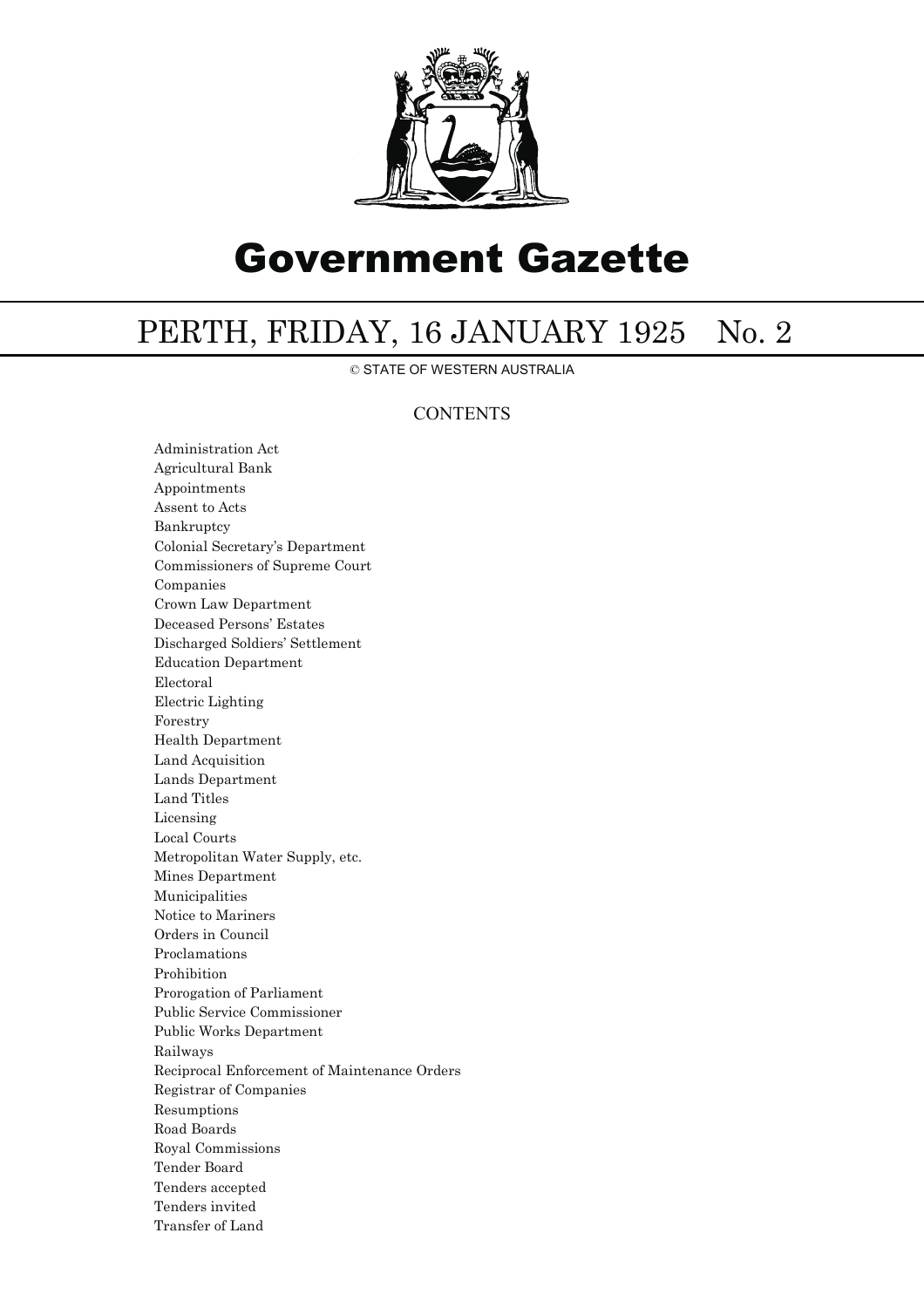

# Government Gazette

## PERTH, FRIDAY, 16 JANUARY 1925 No. 2

© STATE OF WESTERN AUSTRALIA

### **CONTENTS**

Administration Act Agricultural Bank Appointments Assent to Acts Bankruptcy Colonial Secretary's Department Commissioners of Supreme Court Companies Crown Law Department Deceased Persons' Estates Discharged Soldiers' Settlement Education Department Electoral Electric Lighting Forestry Health Department Land Acquisition Lands Department Land Titles Licensing Local Courts Metropolitan Water Supply, etc. Mines Department Municipalities Notice to Mariners Orders in Council Proclamations Prohibition Prorogation of Parliament Public Service Commissioner Public Works Department Railways Reciprocal Enforcement of Maintenance Orders Registrar of Companies Resumptions Road Boards Royal Commissions Tender Board Tenders accepted Tenders invited Transfer of Land